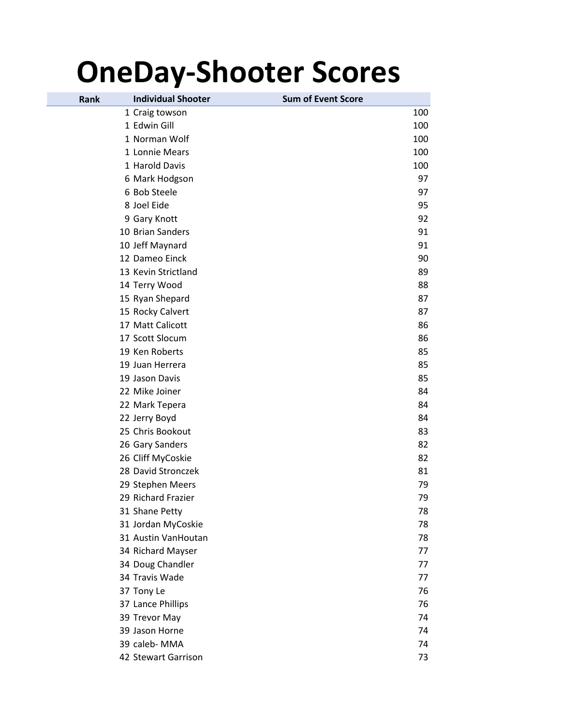## **OneDay-Shooter Scores**

| Rank | <b>Individual Shooter</b> | <b>Sum of Event Score</b> |     |
|------|---------------------------|---------------------------|-----|
|      | 1 Craig towson            |                           | 100 |
|      | 1 Edwin Gill              |                           | 100 |
|      | 1 Norman Wolf             |                           | 100 |
|      | 1 Lonnie Mears            |                           | 100 |
|      | 1 Harold Davis            |                           | 100 |
|      | 6 Mark Hodgson            |                           | 97  |
|      | 6 Bob Steele              |                           | 97  |
|      | 8 Joel Eide               |                           | 95  |
|      | 9 Gary Knott              |                           | 92  |
|      | 10 Brian Sanders          |                           | 91  |
|      | 10 Jeff Maynard           |                           | 91  |
|      | 12 Dameo Einck            |                           | 90  |
|      | 13 Kevin Strictland       |                           | 89  |
|      | 14 Terry Wood             |                           | 88  |
|      | 15 Ryan Shepard           |                           | 87  |
|      | 15 Rocky Calvert          |                           | 87  |
|      | 17 Matt Calicott          |                           | 86  |
|      | 17 Scott Slocum           |                           | 86  |
|      | 19 Ken Roberts            |                           | 85  |
|      | 19 Juan Herrera           |                           | 85  |
|      | 19 Jason Davis            |                           | 85  |
|      | 22 Mike Joiner            |                           | 84  |
|      | 22 Mark Tepera            |                           | 84  |
|      | 22 Jerry Boyd             |                           | 84  |
|      | 25 Chris Bookout          |                           | 83  |
|      | 26 Gary Sanders           |                           | 82  |
|      | 26 Cliff MyCoskie         |                           | 82  |
|      | 28 David Stronczek        |                           | 81  |
|      | 29 Stephen Meers          |                           | 79  |
|      | 29 Richard Frazier        |                           | 79  |
|      | 31 Shane Petty            |                           | 78  |
|      | 31 Jordan MyCoskie        |                           | 78  |
|      | 31 Austin VanHoutan       |                           | 78  |
|      | 34 Richard Mayser         |                           | 77  |
|      | 34 Doug Chandler          |                           | 77  |
|      | 34 Travis Wade            |                           | 77  |
|      | 37 Tony Le                |                           | 76  |
|      | 37 Lance Phillips         |                           | 76  |
|      | 39 Trevor May             |                           | 74  |
|      | 39 Jason Horne            |                           | 74  |
|      | 39 caleb-MMA              |                           | 74  |
|      | 42 Stewart Garrison       |                           | 73  |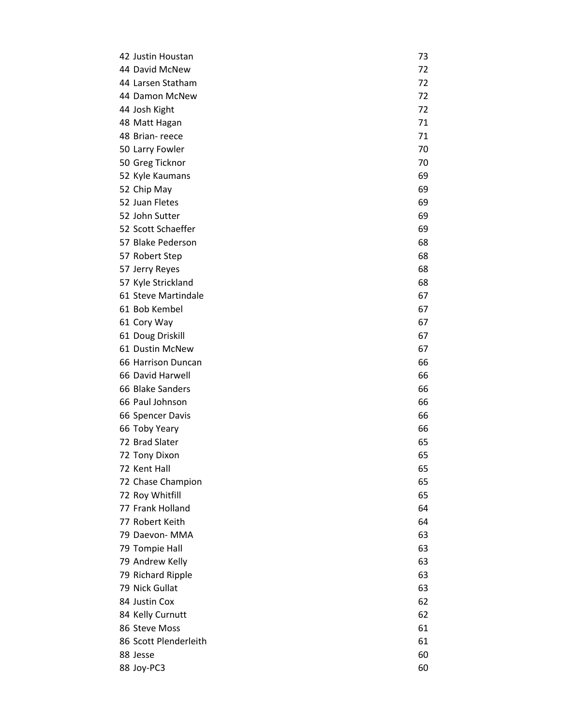| 42 Justin Houstan     | 73 |
|-----------------------|----|
| 44 David McNew        | 72 |
| 44 Larsen Statham     | 72 |
| 44 Damon McNew        | 72 |
| 44 Josh Kight         | 72 |
| 48 Matt Hagan         | 71 |
| 48 Brian-reece        | 71 |
| 50 Larry Fowler       | 70 |
| 50 Greg Ticknor       | 70 |
| 52 Kyle Kaumans       | 69 |
| 52 Chip May           | 69 |
| 52 Juan Fletes        | 69 |
| 52 John Sutter        | 69 |
| 52 Scott Schaeffer    | 69 |
| 57 Blake Pederson     | 68 |
| 57 Robert Step        | 68 |
| 57 Jerry Reyes        | 68 |
| 57 Kyle Strickland    | 68 |
| 61 Steve Martindale   | 67 |
| 61 Bob Kembel         | 67 |
| 61 Cory Way           | 67 |
| 61 Doug Driskill      | 67 |
| 61 Dustin McNew       | 67 |
| 66 Harrison Duncan    | 66 |
| 66 David Harwell      | 66 |
| 66 Blake Sanders      | 66 |
| 66 Paul Johnson       | 66 |
| 66 Spencer Davis      | 66 |
| 66 Toby Yeary         | 66 |
| 72 Brad Slater        | 65 |
| 72 Tony Dixon         | 65 |
| 72 Kent Hall          | 65 |
| 72 Chase Champion     | 65 |
| 72 Roy Whitfill       | 65 |
| 77 Frank Holland      | 64 |
| 77 Robert Keith       | 64 |
| 79 Daevon- MMA        | 63 |
| 79 Tompie Hall        | 63 |
| 79 Andrew Kelly       | 63 |
| 79 Richard Ripple     | 63 |
| 79 Nick Gullat        | 63 |
| 84 Justin Cox         | 62 |
| 84 Kelly Curnutt      | 62 |
| 86 Steve Moss         | 61 |
| 86 Scott Plenderleith | 61 |
| 88 Jesse              | 60 |
| 88 Joy-PC3            | 60 |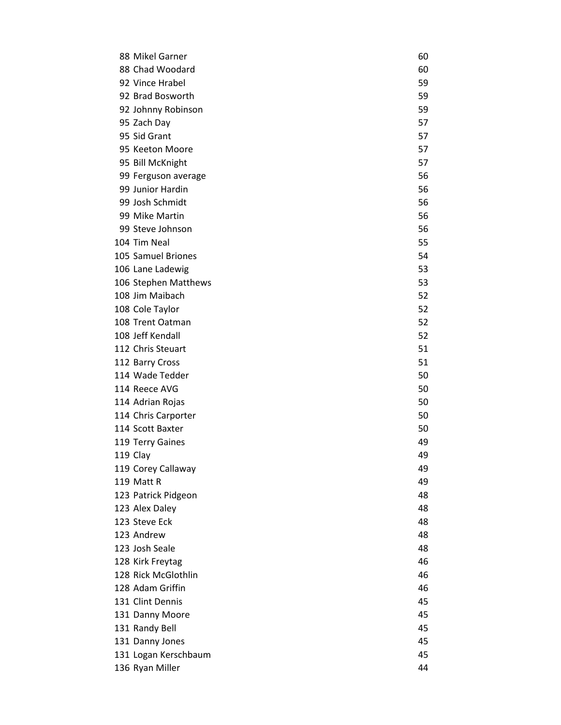| 88 Mikel Garner      | 60 |
|----------------------|----|
| 88 Chad Woodard      | 60 |
| 92 Vince Hrabel      | 59 |
| 92 Brad Bosworth     | 59 |
| 92 Johnny Robinson   | 59 |
| 95 Zach Day          | 57 |
| 95 Sid Grant         | 57 |
| 95 Keeton Moore      | 57 |
| 95 Bill McKnight     | 57 |
| 99 Ferguson average  | 56 |
| 99 Junior Hardin     | 56 |
| 99 Josh Schmidt      | 56 |
| 99 Mike Martin       | 56 |
| 99 Steve Johnson     | 56 |
| 104 Tim Neal         | 55 |
| 105 Samuel Briones   | 54 |
| 106 Lane Ladewig     | 53 |
| 106 Stephen Matthews | 53 |
| 108 Jim Maibach      | 52 |
| 108 Cole Taylor      | 52 |
| 108 Trent Oatman     | 52 |
| 108 Jeff Kendall     | 52 |
| 112 Chris Steuart    | 51 |
| 112 Barry Cross      | 51 |
| 114 Wade Tedder      | 50 |
| 114 Reece AVG        | 50 |
| 114 Adrian Rojas     | 50 |
| 114 Chris Carporter  | 50 |
| 114 Scott Baxter     | 50 |
| 119 Terry Gaines     | 49 |
| 119 Clay             | 49 |
| 119 Corey Callaway   | 49 |
| 119 Matt R           | 49 |
| 123 Patrick Pidgeon  | 48 |
| 123 Alex Daley       | 48 |
| 123 Steve Eck        | 48 |
| 123 Andrew           | 48 |
| 123 Josh Seale       | 48 |
| 128 Kirk Freytag     | 46 |
| 128 Rick McGlothlin  | 46 |
| 128 Adam Griffin     | 46 |
| 131 Clint Dennis     | 45 |
| 131 Danny Moore      | 45 |
| 131 Randy Bell       | 45 |
| 131 Danny Jones      | 45 |
| 131 Logan Kerschbaum | 45 |
| 136 Ryan Miller      | 44 |